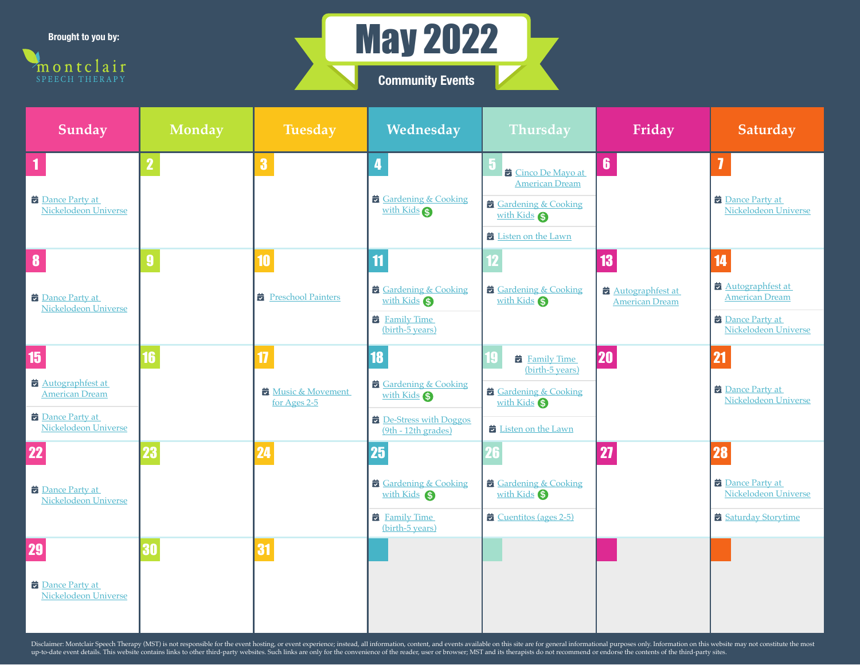**Brought to you by:**





| <b>Sunday</b>                                        | <b>Monday</b>           | <b>Tuesday</b>                   | Wednesday                                       | Thursday                                                | Friday                                    | Saturday                                             |
|------------------------------------------------------|-------------------------|----------------------------------|-------------------------------------------------|---------------------------------------------------------|-------------------------------------------|------------------------------------------------------|
|                                                      | $\overline{\mathbf{2}}$ | 3                                | 4                                               | 5<br><b>E</b> Cinco De Mayo at<br><b>American Dream</b> | $6\phantom{1}$                            |                                                      |
| <b>Dance Party at</b><br><b>Nickelodeon Universe</b> |                         |                                  | Gardening & Cooking<br>with Kids                | Gardening & Cooking<br>with Kids<br>Listen on the Lawn  |                                           | <b>Dance Party at</b><br><b>Nickelodeon Universe</b> |
|                                                      | $\boldsymbol{9}$        | 10                               | $\mathbf{11}$                                   |                                                         | 13                                        | 14                                                   |
| <b>Dance Party at</b><br>Nickelodeon Universe        |                         | Preschool Painters               | Gardening & Cooking<br>with Kids S              | Gardening & Cooking<br>with Kids \$                     | Autographfest at<br><b>American Dream</b> | Autographfest at<br><b>American Dream</b>            |
|                                                      |                         |                                  | <b>Example 1</b> Family Time<br>(birth-5 years) |                                                         |                                           | Dance Party at<br><b>Nickelodeon Universe</b>        |
| 15                                                   |                         | 17                               | 18                                              | <b>E</b> Family Time<br>(birth-5 years)                 | <b>20</b>                                 | $\overline{2}$                                       |
| Autographfest at<br><b>American Dream</b>            |                         | Music & Movement<br>for Ages 2-5 | Gardening & Cooking<br>with Kids \$             | Gardening & Cooking<br>with Kids                        |                                           | Dance Party at<br><b>Nickelodeon Universe</b>        |
| <b>Dance Party at</b><br><b>Nickelodeon Universe</b> |                         |                                  | De-Stress with Doggos<br>(9th - 12th grades)    | Listen on the Lawn                                      |                                           |                                                      |
| 22                                                   |                         | 24                               | 25                                              |                                                         | 27                                        | 28                                                   |
| <b>Dance Party at</b><br><b>Nickelodeon Universe</b> |                         |                                  | Gardening & Cooking<br>with Kids S              | Gardening & Cooking<br>with Kids <sup>S</sup>           |                                           | <b>Dance Party at</b><br>Nickelodeon Universe        |
|                                                      |                         |                                  | <b>E</b> Family Time<br>(birth-5 years)         | $\overrightarrow{a}$ Cuentitos (ages 2-5)               |                                           | Saturday Storytime                                   |
| 29                                                   | 30                      | 31                               |                                                 |                                                         |                                           |                                                      |
| <b>Dance Party at</b><br>Nickelodeon Universe        |                         |                                  |                                                 |                                                         |                                           |                                                      |

Disclaimer: Montclair Speech Therapy (MST) is not responsible for the event hosting, or event experience; instead, all information, content, and events available on this site are for general informational purposes only. In